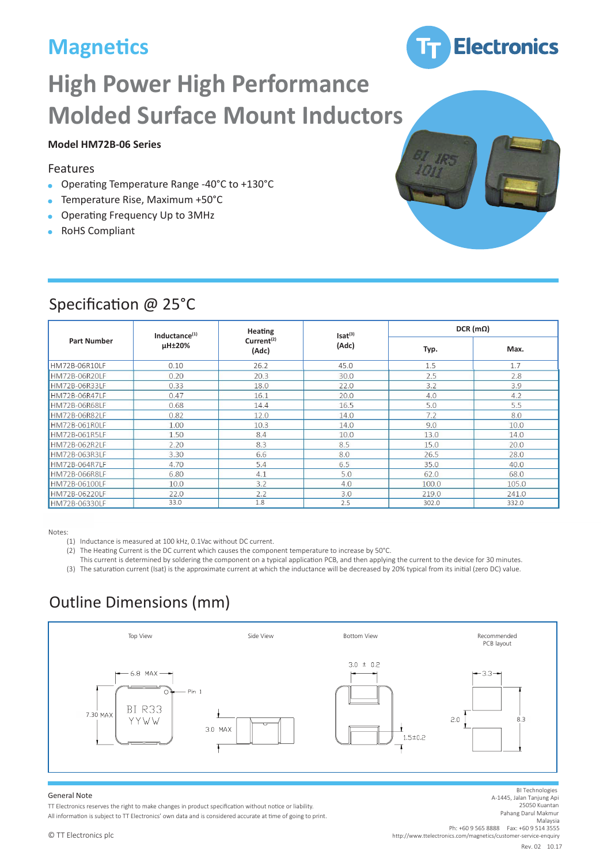# **Magnetics**



# **High Power High Performance Molded Surface Mount Inductors**

#### **Model HM72B-06 Series**

#### Features

- Operating Temperature Range -40°C to +130°C  $\bullet$
- Temperature Rise, Maximum +50°C
- Operating Frequency Up to 3MHz
- RoHS Compliant

| <b>Part Number</b> | Inductance $(1)$<br>µH±20% | <b>Heating</b><br>Current <sup>(2)</sup><br>(Adc) | Isat <sup>(3)</sup><br>(Adc) | $DCR$ (m $\Omega$ ) |       |
|--------------------|----------------------------|---------------------------------------------------|------------------------------|---------------------|-------|
|                    |                            |                                                   |                              | Typ.                | Max.  |
| HM72B-06R10LF      | 0.10                       | 26.2                                              | 45.0                         | 1.5                 | 1.7   |
| HM72B-06R20LF      | 0.20                       | 20.3                                              | 30.0                         | 2.5                 | 2.8   |
| HM72B-06R33LF      | 0.33                       | 18.0                                              | 22.0                         | 3.2                 | 3.9   |
| HM72B-06R47LF      | 0.47                       | 16.1                                              | 20.0                         | 4.0                 | 4.2   |
| HM72B-06R68LF      | 0.68                       | 14.4                                              | 16.5                         | 5.0                 | 5.5   |
| HM72B-06R82LF      | 0.82                       | 12.0                                              | 14.0                         | 7.2                 | 8.0   |
| HM72B-061ROLF      | 1.00                       | 10.3                                              | 14.0                         | 9.0                 | 10.0  |
| HM72B-061R5LF      | 1.50                       | 8.4                                               | 10.0                         | 13.0                | 14.0  |
| HM72B-062R2LF      | 2.20                       | 8.3                                               | 8.5                          | 15.0                | 20.0  |
| HM72B-063R3LF      | 3.30                       | 6.6                                               | 8.0                          | 26.5                | 28.0  |
| HM72B-064R7LF      | 4.70                       | 5.4                                               | 6.5                          | 35.0                | 40.0  |
| HM72B-066R8LF      | 6.80                       | 4.1                                               | 5.0                          | 62.0                | 68.0  |
| HM72B-06100LF      | 10.0                       | 3.2                                               | 4.0                          | 100.0               | 105.0 |
| HM72B-06220LF      | 22.0                       | 2.2                                               | 3.0                          | 219.0               | 241.0 |
| HM72B-06330LF      | 33.0                       | 1.8                                               | 2.5                          | 302.0               | 332.0 |

### Specification @ 25°C

Notes:

- (1) Inductance is measured at 100 kHz, 0.1Vac without DC current.
- (2) The Heating Current is the DC current which causes the component temperature to increase by 50°C.
- This current is determined by soldering the component on a typical application PCB, and then applying the current to the device for 30 minutes. (3) The saturation current (Isat) is the approximate current at which the inductance will be decreased by 20% typical from its initial (zero DC) value.

# Outline Dimensions (mm)



#### General Note

TT Electronics reserves the right to make changes in product specification without notice or liability. All information is subject to TT Electronics' own data and is considered accurate at time of going to print. http://www.ttelectronics.com/magnetics/customer-service-enquiry BI Technologies A-1445, Jalan Tanjung Api 25050 Kuantan Pahang Darul Makmur Malaysia Ph: +60 9 565 8888 Fax: +60 9 514 3555